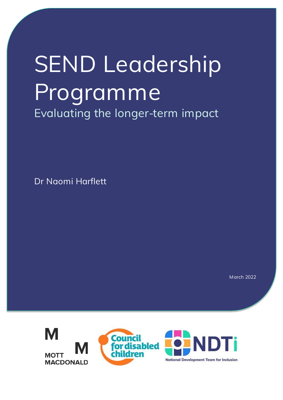# SEND Leadership Programme Evaluating the longer-term impact

Dr Naomi Harflett

March 2022

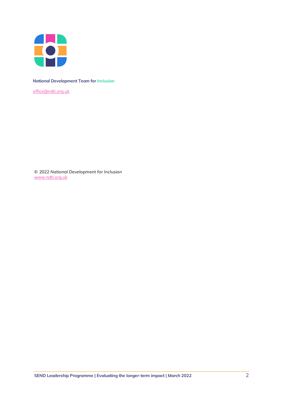

#### National Development Team for Inclusion

[office@ndti.org.uk](mailto:office@ndti.org.uk)

© 2022 National Development for Inclusion [www.ndti.org.uk](http://www.ndti.org.uk/)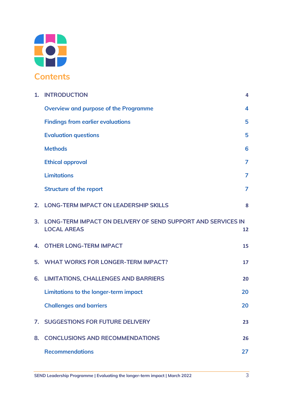

|    | 1. INTRODUCTION                                                                    | 4                |
|----|------------------------------------------------------------------------------------|------------------|
|    | Overview and purpose of the Programme                                              | $\boldsymbol{A}$ |
|    | <b>Findings from earlier evaluations</b>                                           | 5                |
|    | <b>Evaluation questions</b>                                                        | 5                |
|    | <b>Methods</b>                                                                     | 6                |
|    | <b>Ethical approval</b>                                                            | 7                |
|    | <b>Limitations</b>                                                                 | 7                |
|    | <b>Structure of the report</b>                                                     | 7                |
| 2. | <b>LONG-TERM IMPACT ON LEADERSHIP SKILLS</b>                                       | 8                |
| 3. | LONG-TERM IMPACT ON DELIVERY OF SEND SUPPORT AND SERVICES IN<br><b>LOCAL AREAS</b> | 12               |
| 4. | <b>OTHER LONG-TERM IMPACT</b>                                                      | 15               |
| 5. | <b>WHAT WORKS FOR LONGER-TERM IMPACT?</b>                                          | 17               |
| 6. | <b>LIMITATIONS, CHALLENGES AND BARRIERS</b>                                        | 20               |
|    | Limitations to the longer-term impact                                              | 20               |
|    | <b>Challenges and barriers</b>                                                     | 20               |
|    | 7. SUGGESTIONS FOR FUTURE DELIVERY                                                 | 23               |
| 8. | <b>CONCLUSIONS AND RECOMMENDATIONS</b>                                             | 26               |
|    | <b>Recommendations</b>                                                             | 27               |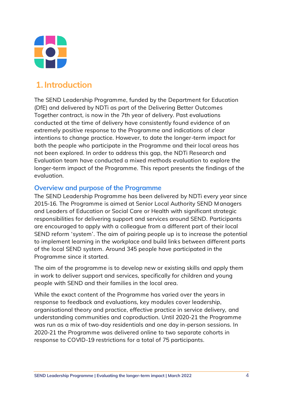

# 1. Introduction

The SEND Leadership Programme, funded by the Department for Education (DfE) and delivered by NDTi as part of the Delivering Better Outcomes Together contract, is now in the 7th year of delivery. Past evaluations conducted at the time of delivery have consistently found evidence of an extremely positive response to the Programme and indications of clear intentions to change practice. However, to date the longer-term impact for both the people who participate in the Programme and their local areas has not been explored. In order to address this gap, the NDTi Research and Evaluation team have conducted a mixed methods evaluation to explore the longer-term impact of the Programme. This report presents the findings of the evaluation.

# Overview and purpose of the Programme

The SEND Leadership Programme has been delivered by NDTi every year since 2015-16. The Programme is aimed at Senior Local Authority SEND Managers and Leaders of Education or Social Care or Health with significant strategic responsibilities for delivering support and services around SEND. Participants are encouraged to apply with a colleague from a different part of their local SEND reform 'system'. The aim of pairing people up is to increase the potential to implement learning in the workplace and build links between different parts of the local SEND system. Around 345 people have participated in the Programme since it started.

The aim of the programme is to develop new or existing skills and apply them in work to deliver support and services, specifically for children and young people with SEND and their families in the local area.

While the exact content of the Programme has varied over the years in response to feedback and evaluations, key modules cover leadership, organisational theory and practice, effective practice in service delivery, and understanding communities and coproduction. Until 2020-21 the Programme was run as a mix of two-day residentials and one day in-person sessions. In 2020-21 the Programme was delivered online to two separate cohorts in response to COVID-19 restrictions for a total of 75 participants.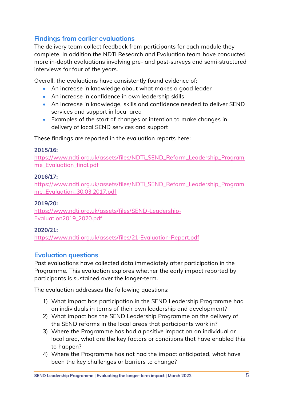# Findings from earlier evaluations

The delivery team collect feedback from participants for each module they complete. In addition the NDTi Research and Evaluation team have conducted more in-depth evaluations involving pre- and post-surveys and semi-structured interviews for four of the years.

Overall, the evaluations have consistently found evidence of:

- An increase in knowledge about what makes a good leader
- An increase in confidence in own leadership skills
- An increase in knowledge, skills and confidence needed to deliver SEND services and support in local area
- Examples of the start of changes or intention to make changes in delivery of local SEND services and support

These findings are reported in the evaluation reports here:

## 2015/16:

[https://www.ndti.org.uk/assets/files/NDTi\\_SEND\\_Reform\\_Leadership\\_Program](https://www.ndti.org.uk/assets/files/NDTi_SEND_Reform_Leadership_Programme_Evaluation_final.pdf) [me\\_Evaluation\\_final.pdf](https://www.ndti.org.uk/assets/files/NDTi_SEND_Reform_Leadership_Programme_Evaluation_final.pdf)

## 2016/17:

[https://www.ndti.org.uk/assets/files/NDTi\\_SEND\\_Reform\\_Leadership\\_Program](https://www.ndti.org.uk/assets/files/NDTi_SEND_Reform_Leadership_Programme_Evaluation_30.03.2017.pdf) [me\\_Evaluation\\_30.03.2017.pdf](https://www.ndti.org.uk/assets/files/NDTi_SEND_Reform_Leadership_Programme_Evaluation_30.03.2017.pdf)

## 2019/20:

[https://www.ndti.org.uk/assets/files/SEND-Leadership-](https://www.ndti.org.uk/assets/files/SEND-Leadership-Evaluation2019_2020.pdf)[Evaluation2019\\_2020.pdf](https://www.ndti.org.uk/assets/files/SEND-Leadership-Evaluation2019_2020.pdf)

## 2020/21:

<https://www.ndti.org.uk/assets/files/21-Evaluation-Report.pdf>

# Evaluation questions

Past evaluations have collected data immediately after participation in the Programme. This evaluation explores whether the early impact reported by participants is sustained over the longer-term.

The evaluation addresses the following questions:

- 1) What impact has participation in the SEND Leadership Programme had on individuals in terms of their own leadership and development?
- 2) What impact has the SEND Leadership Programme on the delivery of the SEND reforms in the local areas that participants work in?
- 3) Where the Programme has had a positive impact on an individual or local area, what are the key factors or conditions that have enabled this to happen?
- 4) Where the Programme has not had the impact anticipated, what have been the key challenges or barriers to change?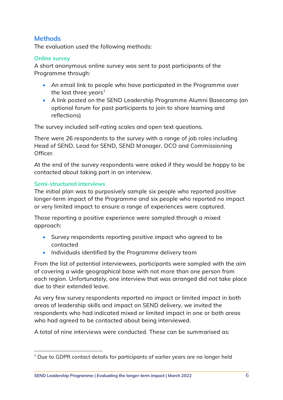# **Methods**

The evaluation used the following methods:

## Online survey

A short anonymous online survey was sent to past participants of the Programme through:

- An email link to people who have participated in the Programme over the last three years<sup>1</sup>
- A link posted on the SEND Leadership Programme Alumni Basecamp (an optional forum for past participants to join to share learning and reflections)

The survey included self-rating scales and open text questions.

There were 26 respondents to the survey with a range of job roles including Head of SEND, Lead for SEND, SEND Manager, DCO and Commissioning Officer.

At the end of the survey respondents were asked if they would be happy to be contacted about taking part in an interview.

#### Semi-structured interviews

The initial plan was to purposively sample six people who reported positive longer-term impact of the Programme and six people who reported no impact or very limited impact to ensure a range of experiences were captured.

Those reporting a positive experience were sampled through a mixed approach:

- Survey respondents reporting positive impact who agreed to be contacted
- Individuals identified by the Programme delivery team

From the list of potential interviewees, participants were sampled with the aim of covering a wide geographical base with not more than one person from each region. Unfortunately, one interview that was arranged did not take place due to their extended leave.

As very few survey respondents reported no impact or limited impact in both areas of leadership skills and impact on SEND delivery, we invited the respondents who had indicated mixed or limited impact in one or both areas who had agreed to be contacted about being interviewed.

A total of nine interviews were conducted. These can be summarised as:

 $1$  Due to GDPR contact details for participants of earlier years are no longer held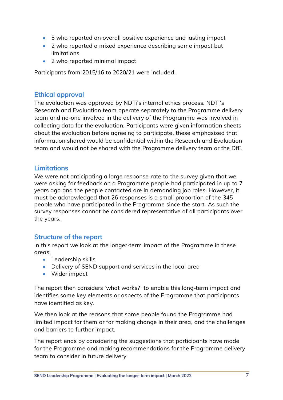- 5 who reported an overall positive experience and lasting impact
- 2 who reported a mixed experience describing some impact but limitations
- 2 who reported minimal impact

Participants from 2015/16 to 2020/21 were included.

# Ethical approval

The evaluation was approved by NDTi's internal ethics process. NDTi's Research and Evaluation team operate separately to the Programme delivery team and no-one involved in the delivery of the Programme was involved in collecting data for the evaluation. Participants were given information sheets about the evaluation before agreeing to participate, these emphasised that information shared would be confidential within the Research and Evaluation team and would not be shared with the Programme delivery team or the DfE.

# **Limitations**

We were not anticipating a large response rate to the survey given that we were asking for feedback on a Programme people had participated in up to 7 years ago and the people contacted are in demanding job roles. However, it must be acknowledged that 26 responses is a small proportion of the 345 people who have participated in the Programme since the start. As such the survey responses cannot be considered representative of all participants over the years.

# Structure of the report

In this report we look at the longer-term impact of the Programme in these areas:

- Leadership skills
- Delivery of SEND support and services in the local area
- Wider impact

The report then considers 'what works?' to enable this long-term impact and identifies some key elements or aspects of the Programme that participants have identified as key.

We then look at the reasons that some people found the Programme had limited impact for them or for making change in their area, and the challenges and barriers to further impact.

The report ends by considering the suggestions that participants have made for the Programme and making recommendations for the Programme delivery team to consider in future delivery.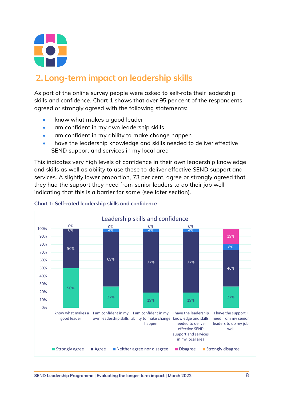

# 2. Long-term impact on leadership skills

As part of the online survey people were asked to self-rate their leadership skills and confidence. Chart 1 shows that over 95 per cent of the respondents agreed or strongly agreed with the following statements:

- I know what makes a good leader
- I am confident in my own leadership skills
- I am confident in my ability to make change happen
- I have the leadership knowledge and skills needed to deliver effective SEND support and services in my local area

This indicates very high levels of confidence in their own leadership knowledge and skills as well as ability to use these to deliver effective SEND support and services. A slightly lower proportion, 73 per cent, agree or strongly agreed that they had the support they need from senior leaders to do their job well indicating that this is a barrier for some (see later section).



#### Chart 1: Self-rated leadership skills and confidence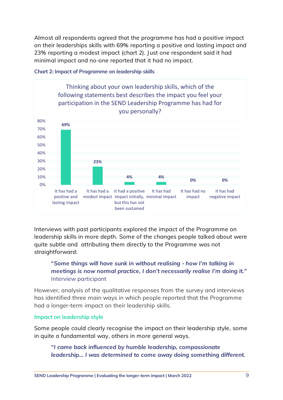Almost all respondents agreed that the programme has had a positive impact on their leaderships skills with 69% reporting a positive and lasting impact and 23% reporting a modest impact (chart 2). Just one respondent said it had minimal impact and no-one reported that it had no impact.



Chart 2: Impact of Programme on leadership skills

Interviews with past participants explored the impact of the Programme on leadership skills in more depth. Some of the changes people talked about were quite subtle and attributing them directly to the Programme was not straightforward:

# *"Some things will have sunk in without realising - how I'm talking in meetings is now normal practice, I don't necessarily realise I'm doing it."* Interview participant

However, analysis of the qualitative responses from the survey and interviews has identified three main ways in which people reported that the Programme had a longer-term impact on their leadership skills.

## Impact on leadership style

Some people could clearly recognise the impact on their leadership style, some in quite a fundamental way, others in more general ways.

*"I came back influenced by humble leadership, compassionate leadership… I was determined to come away doing something different.*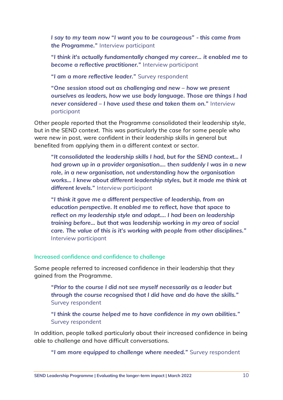*I say to my team now "I want you to be courageous" - this came from the Programme."* Interview participant

*"I think it's actually fundamentally changed my career… it enabled me to become a reflective practitioner."* Interview participant

*"I am a more reflective leader."* Survey respondent

*"One session stood out as challenging and new – how we present ourselves as leaders, how we use body language. Those are things I had never considered – I have used these and taken them on."* Interview participant

Other people reported that the Programme consolidated their leadership style, but in the SEND context. This was particularly the case for some people who were new in post, were confident in their leadership skills in general but benefited from applying them in a different context or sector.

*"It consolidated the leadership skills I had, but for the SEND context… I had grown up in a provider organisation…. then suddenly I was in a new role, in a new organisation, not understanding how the organisation works… I knew about different leadership styles, but it made me think at different levels."* Interview participant

*"I think it gave me a different perspective of leadership, from an education perspective. It enabled me to reflect, have that space to reflect on my leadership style and adapt…. I had been on leadership training before… but that was leadership working in my area of social care. The value of this is it's working with people from other disciplines."* Interview participant

#### Increased confidence and confidence to challenge

Some people referred to increased confidence in their leadership that they gained from the Programme.

*"Prior to the course I did not see myself necessarily as a leader but through the course recognised that I did have and do have the skills."* Survey respondent

*"I think the course helped me to have confidence in my own abilities."* Survey respondent

In addition, people talked particularly about their increased confidence in being able to challenge and have difficult conversations.

*"I am more equipped to challenge where needed."* Survey respondent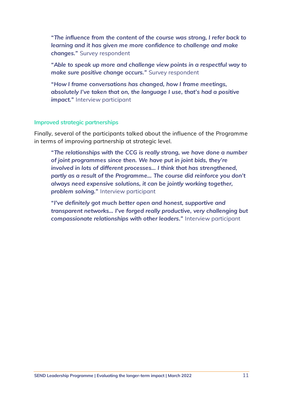*"The influence from the content of the course was strong, I refer back to learning and it has given me more confidence to challenge and make changes."* Survey respondent

*"Able to speak up more and challenge view points in a respectful way to make sure positive change occurs."* Survey respondent

*"How I frame conversations has changed, how I frame meetings, absolutely I've taken that on, the language I use, that's had a positive impact."* Interview participant

#### Improved strategic partnerships

Finally, several of the participants talked about the influence of the Programme in terms of improving partnership at strategic level.

*"The relationships with the CCG is really strong, we have done a number of joint programmes since then. We have put in joint bids, they're involved in lots of different processes… I think that has strengthened, partly as a result of the Programme… The course did reinforce you don't always need expensive solutions, it can be jointly working together, problem solving."* Interview participant

*"I've definitely got much better open and honest, supportive and transparent networks… I've forged really productive, very challenging but compassionate relationships with other leaders."* Interview participant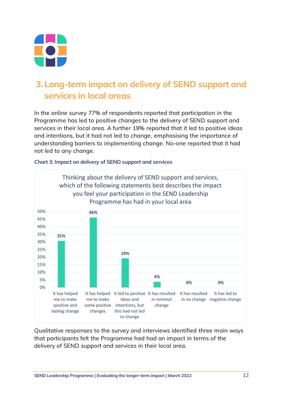

# 3. Long-term impact on delivery of SEND support and services in local areas

In the online survey 77% of respondents reported that participation in the Programme has led to positive changes to the delivery of SEND support and services in their local area. A further 19% reported that it led to positive ideas and intentions, but it had not led to change, emphasising the importance of understanding barriers to implementing change. No-one reported that it had not led to any change.



Chart 3: Impact on delivery of SEND support and services

Qualitative responses to the survey and interviews identified three main ways that participants felt the Programme had had an impact in terms of the delivery of SEND support and services in their local area.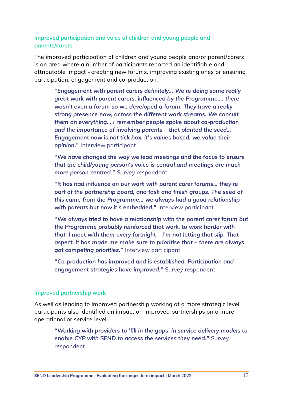# Improved participation and voice of children and young people and parents/carers

The improved participation of children and young people and/or parent/carers is an area where a number of participants reported an identifiable and attributable impact - creating new forums, improving existing ones or ensuring participation, engagement and co-production.

*"Engagement with parent carers definitely… We're doing some really great work with parent carers, influenced by the Programme…. there wasn't even a forum so we developed a forum. They have a really strong presence now, across the different work streams. We consult them on everything… I remember people spoke about co-production and the importance of involving parents – that planted the seed… Engagement now is not tick box, it's values based, we value their opinion."* Interview participant

*"We have changed the way we lead meetings and the focus to ensure that the child/young person's voice is central and meetings are much more person centred."* Survey respondent

*"It has had influence on our work with parent carer forums… they're part of the partnership board, and task and finish groups. The seed of this came from the Programme… we always had a good relationship with parents but now it's embedded."* Interview participant

*"We always tried to have a relationship with the parent carer forum but the Programme probably reinforced that work, to work harder with that. I meet with them every fortnight – I'm not letting that slip. That aspect, it has made me make sure to prioritise that – there are always got competing priorities."* Interview participant

*"Co-production has improved and is established. Participation and engagement strategies have improved."* Survey respondent

#### Improved partnership work

As well as leading to improved partnership working at a more strategic level, participants also identified an impact on improved partnerships on a more operational or service level.

*"Working with providers to 'fill in the gaps' in service delivery models to enable CYP with SEND to access the services they need."* Survey respondent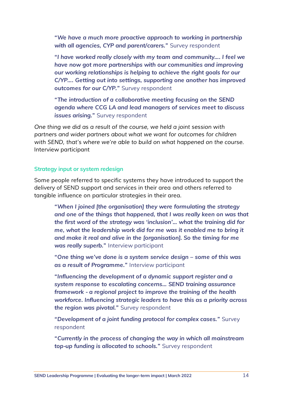*"We have a much more proactive approach to working in partnership with all agencies, CYP and parent/carers."* Survey respondent

*"I have worked really closely with my team and community…. I feel we have now got more partnerships with our communities and improving our working relationships is helping to achieve the right goals for our C/YP…. Getting out into settings, supporting one another has improved outcomes for our C/YP."* Survey respondent

*"The introduction of a collaborative meeting focusing on the SEND agenda where CCG LA and lead managers of services meet to discuss issues arising."* Survey respondent

*One thing we did as a result of the course, we held a joint session with partners and wider partners about what we want for outcomes for children with SEND, that's where we're able to build on what happened on the course.*  Interview participant

#### Strategy input or system redesign

Some people referred to specific systems they have introduced to support the delivery of SEND support and services in their area and others referred to tangible influence on particular strategies in their area.

*"When I joined [the organisation] they were formulating the strategy and one of the things that happened, that I was really keen on was that the first word of the strategy was 'inclusion'… what the training did for me, what the leadership work did for me was it enabled me to bring it and make it real and alive in the [organisation]. So the timing for me was really superb."* Interview participant

*"One thing we've done is a system service design – some of this was as a result of Programme."* Interview participant

*"Influencing the development of a dynamic support register and a system response to escalating concerns… SEND training assurance framework - a regional project to improve the training of the health workforce. Influencing strategic leaders to have this as a priority across the region was pivotal."* Survey respondent

*"Development of a joint funding protocol for complex cases."* Survey respondent

*"Currently in the process of changing the way in which all mainstream top-up funding is allocated to schools."* Survey respondent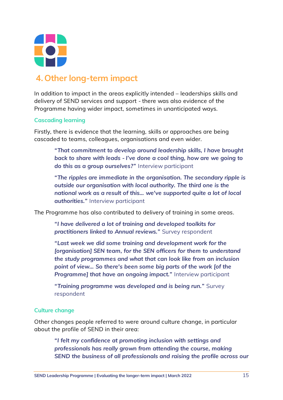

# 4.Other long-term impact

In addition to impact in the areas explicitly intended – leaderships skills and delivery of SEND services and support - there was also evidence of the Programme having wider impact, sometimes in unanticipated ways.

#### Cascading learning

Firstly, there is evidence that the learning, skills or approaches are being cascaded to teams, colleagues, organisations and even wider.

> *"That commitment to develop around leadership skills, I have brought back to share with leads - I've done a cool thing, how are we going to do this as a group ourselves?"* Interview participant

*"The ripples are immediate in the organisation. The secondary ripple is outside our organisation with local authority. The third one is the national work as a result of this… we've supported quite a lot of local authorities."* Interview participant

The Programme has also contributed to delivery of training in some areas.

*"I have delivered a lot of training and developed toolkits for practitioners linked to Annual reviews."* Survey respondent

*"Last week we did some training and development work for the [organisation] SEN team, for the SEN officers for them to understand the study programmes and what that can look like from an inclusion point of view… So there's been some big parts of the work [of the Programme] that have an ongoing impact."* Interview participant

*"Training programme was developed and is being run."* Survey respondent

#### Culture change

Other changes people referred to were around culture change, in particular about the profile of SEND in their area:

*"I felt my confidence at promoting inclusion with settings and professionals has really grown from attending the course, making SEND the business of all professionals and raising the profile across our*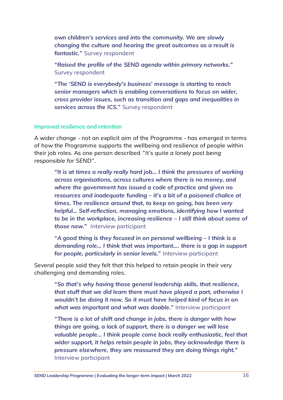*own children's services and into the community. We are slowly changing the culture and hearing the great outcomes as a result is fantastic."* Survey respondent

*"Raised the profile of the SEND agenda within primary networks."* Survey respondent

*"The 'SEND is everybody's business' message is starting to reach senior managers which is enabling conversations to focus on wider, cross provider issues, such as transition and gaps and inequalities in services across the ICS."* Survey respondent

#### Improved resilience and retention

A wider change - not an explicit aim of the Programme - has emerged in terms of how the Programme supports the wellbeing and resilience of people within their job roles. As one person described *"It's quite a lonely post being responsible for SEND".* 

*"It is at times a really really hard job… I think the pressures of working across organisations, across cultures where there is no money, and where the government has issued a code of practice and given no resources and inadequate funding – it's a bit of a poisoned chalice at times. The resilience around that, to keep on going, has been very helpful… Self-reflection, managing emotions, identifying how I wanted to be in the workplace, increasing resilience – I still think about some of those now."* Interview participant

*"A good thing is they focused in on personal wellbeing – I think is a demanding role… I think that was important…. there is a gap in support for people, particularly in senior levels."* Interview participant

Several people said they felt that this helped to retain people in their very challenging and demanding roles.

> *"So that's why having those general leadership skills, that resilience, that stuff that we did learn there must have played a part, otherwise I wouldn't be doing it now. So it must have helped kind of focus in on what was important and what was doable."* Interview participant

*"There is a lot of shift and change in jobs, there is danger with how things are going, a lack of support, there is a danger we will lose valuable people… I think people come back really enthusiastic, feel that wider support, it helps retain people in jobs, they acknowledge there is pressure elsewhere, they are reassured they are doing things right."* Interview participant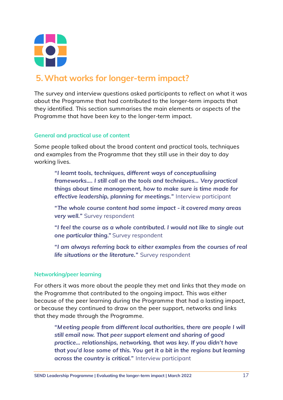

# 5.What works for longer-term impact?

The survey and interview questions asked participants to reflect on what it was about the Programme that had contributed to the longer-term impacts that they identified. This section summarises the main elements or aspects of the Programme that have been key to the longer-term impact.

#### General and practical use of content

Some people talked about the broad content and practical tools, techniques and examples from the Programme that they still use in their day to day working lives.

*"I learnt tools, techniques, different ways of conceptualising frameworks…. I still call on the tools and techniques… Very practical things about time management, how to make sure is time made for effective leadership, planning for meetings."* Interview participant

*"The whole course content had some impact - it covered many areas very well."* Survey respondent

*"I feel the course as a whole contributed. I would not like to single out one particular thing*." Survey respondent

*"I am always referring back to either examples from the courses of real life situations or the literature."* Survey respondent

## Networking/peer learning

For others it was more about the people they met and links that they made on the Programme that contributed to the ongoing impact. This was either because of the peer learning during the Programme that had a lasting impact, or because they continued to draw on the peer support, networks and links that they made through the Programme.

*"Meeting people from different local authorities, there are people I will still email now. That peer support element and sharing of good practice… relationships, networking, that was key. If you didn't have that you'd lose some of this. You get it a bit in the regions but learning across the country is critical."* Interview participant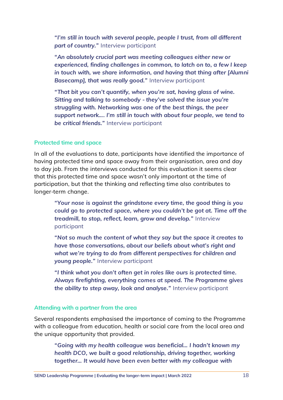*"I'm still in touch with several people, people I trust, from all different part of country."* Interview participant

*"An absolutely crucial part was meeting colleagues either new or experienced, finding challenges in common, to latch on to, a few I keep in touch with, we share information, and having that thing after [Alumni Basecamp], that was really good."* Interview participant

*"That bit you can't quantify, when you're sat, having glass of wine. Sitting and talking to somebody - they've solved the issue you're struggling with. Networking was one of the best things, the peer support network…. I'm still in touch with about four people, we tend to be critical friends."* Interview participant

#### Protected time and space

In all of the evaluations to date, participants have identified the importance of having protected time and space away from their organisation, area and day to day job. From the interviews conducted for this evaluation it seems clear that this protected time and space wasn't only important at the time of participation, but that the thinking and reflecting time also contributes to longer-term change.

*"Your nose is against the grindstone every time, the good thing is you could go to protected space, where you couldn't be got at. Time off the treadmill, to stop, reflect, learn, grow and develop."* Interview participant

*"Not so much the content of what they say but the space it creates to have those conversations, about our beliefs about what's right and what we're trying to do from different perspectives for children and young people."* Interview participant

*"I think what you don't often get in roles like ours is protected time. Always firefighting, everything comes at speed. The Programme gives the ability to step away, look and analyse."* Interview participant

#### Attending with a partner from the area

Several respondents emphasised the importance of coming to the Programme with a colleague from education, health or social care from the local area and the unique opportunity that provided.

*"Going with my health colleague was beneficial… I hadn't known my health DCO, we built a good relationship, driving together, working together… It would have been even better with my colleague with*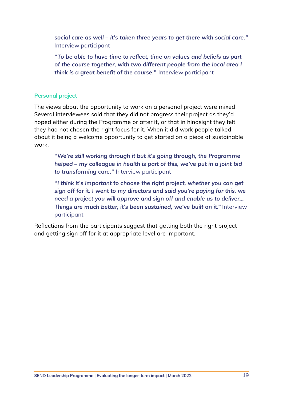*social care as well – it's taken three years to get there with social care."*  Interview participant

*"To be able to have time to reflect, time on values and beliefs as part of the course together, with two different people from the local area I think is a great benefit of the course."* Interview participant

# Personal project

The views about the opportunity to work on a personal project were mixed. Several interviewees said that they did not progress their project as they'd hoped either during the Programme or after it, or that in hindsight they felt they had not chosen the right focus for it. When it did work people talked about it being a welcome opportunity to get started on a piece of sustainable work.

*"We're still working through it but it's going through, the Programme helped – my colleague in health is part of this, we've put in a joint bid to transforming care."* Interview participant

*"I think it's important to choose the right project, whether you can get sign off for it. I went to my directors and said you're paying for this, we need a project you will approve and sign off and enable us to deliver…*  **Things are much better, it's been sustained, we've built on it."** Interview participant

Reflections from the participants suggest that getting both the right project and getting sign off for it at appropriate level are important.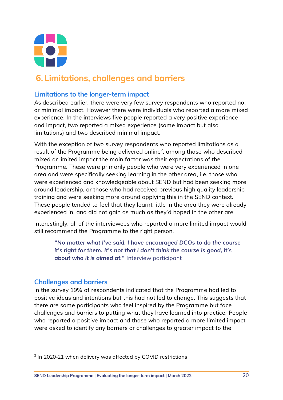

# 6. Limitations, challenges and barriers

# Limitations to the longer-term impact

As described earlier, there were very few survey respondents who reported no, or minimal impact. However there were individuals who reported a more mixed experience. In the interviews five people reported a very positive experience and impact, two reported a mixed experience (some impact but also limitations) and two described minimal impact.

With the exception of two survey respondents who reported limitations as a result of the Programme being delivered online<sup>2</sup>, among those who described mixed or limited impact the main factor was their expectations of the Programme. These were primarily people who were very experienced in one area and were specifically seeking learning in the other area, i.e. those who were experienced and knowledgeable about SEND but had been seeking more around leadership, or those who had received previous high quality leadership training and were seeking more around applying this in the SEND context. These people tended to feel that they learnt little in the area they were already experienced in, and did not gain as much as they'd hoped in the other are

Interestingly, all of the interviewees who reported a more limited impact would still recommend the Programme to the right person.

*"No matter what I've said, I have encouraged DCOs to do the course – it's right for them. It's not that I don't think the course is good, it's about who it is aimed at."* Interview participant

# Challenges and barriers

In the survey 19% of respondents indicated that the Programme had led to positive ideas and intentions but this had not led to change. This suggests that there are some participants who feel inspired by the Programme but face challenges and barriers to putting what they have learned into practice. People who reported a positive impact and those who reported a more limited impact were asked to identify any barriers or challenges to greater impact to the

 $^2$  In 2020-21 when delivery was affected by COVID restrictions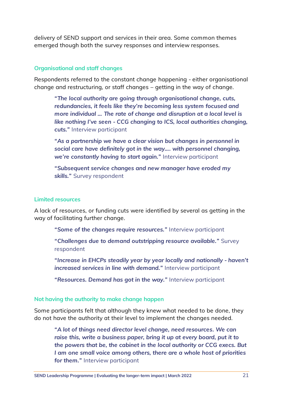delivery of SEND support and services in their area. Some common themes emerged though both the survey responses and interview responses.

#### Organisational and staff changes

Respondents referred to the constant change happening - either organisational change and restructuring, or staff changes – getting in the way of change.

*"The local authority are going through organisational change, cuts, redundancies, it feels like they're becoming less system focused and more individual … The rate of change and disruption at a local level is like nothing I've seen - CCG changing to ICS, local authorities changing, cuts."* Interview participant

*"As a partnership we have a clear vision but changes in personnel in social care have definitely got in the way…. with personnel changing, we're constantly having to start again."* Interview participant

*"Subsequent service changes and new manager have eroded my skills."* Survey respondent

#### Limited resources

A lack of resources, or funding cuts were identified by several as getting in the way of facilitating further change.

*"Some of the changes require resources."* Interview participant

*"Challenges due to demand outstripping resource available."* Survey respondent

*"Increase in EHCPs steadily year by year locally and nationally - haven't increased services in line with demand."* Interview participant

*"Resources. Demand has got in the way."* Interview participant

## Not having the authority to make change happen

Some participants felt that although they knew what needed to be done, they do not have the authority at their level to implement the changes needed.

*"A lot of things need director level change, need resources. We can raise this, write a business paper, bring it up at every board, put it to the powers that be, the cabinet in the local authority or CCG execs. But I am one small voice among others, there are a whole host of priorities for them."* Interview participant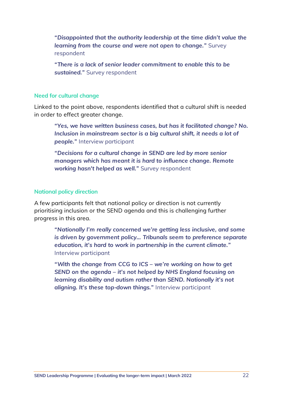*"Disappointed that the authority leadership at the time didn't value the learning from the course and were not open to change."* Survey respondent

*"There is a lack of senior leader commitment to enable this to be sustained."* Survey respondent

#### Need for cultural change

Linked to the point above, respondents identified that a cultural shift is needed in order to effect greater change.

*"Yes, we have written business cases, but has it facilitated change? No.*  Inclusion in mainstream sector is a big cultural shift, it needs a lot of *people."* Interview participant

*"Decisions for a cultural change in SEND are led by more senior managers which has meant it is hard to influence change. Remote working hasn't helped as well."* Survey respondent

#### National policy direction

A few participants felt that national policy or direction is not currently prioritising inclusion or the SEND agenda and this is challenging further progress in this area.

> *"Nationally I'm really concerned we're getting less inclusive, and some is driven by government policy… Tribunals seem to preference separate education, it's hard to work in partnership in the current climate."* Interview participant

*"With the change from CCG to ICS – we're working on how to get SEND on the agenda – it's not helped by NHS England focusing on learning disability and autism rather than SEND. Nationally it's not aligning. It's these top-down things."* Interview participant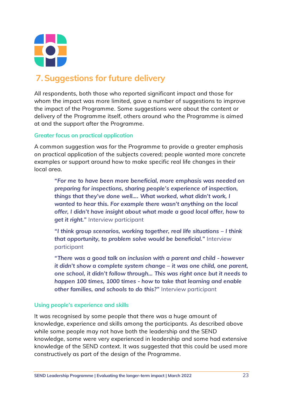

# 7.Suggestions for future delivery

All respondents, both those who reported significant impact and those for whom the impact was more limited, gave a number of suggestions to improve the impact of the Programme. Some suggestions were about the content or delivery of the Programme itself, others around who the Programme is aimed at and the support after the Programme.

#### Greater focus on practical application

A common suggestion was for the Programme to provide a greater emphasis on practical application of the subjects covered; people wanted more concrete examples or support around how to make specific real life changes in their local area.

*"For me to have been more beneficial, more emphasis was needed on preparing for inspections, sharing people's experience of inspection, things that they've done well…. What worked, what didn't work, I wanted to hear this. For example there wasn't anything on the local offer, I didn't have insight about what made a good local offer, how to get it right."* Interview participant

*"I think group scenarios, working together, real life situations – I think that opportunity, to problem solve would be beneficial."* Interview participant

*"There was a good talk on inclusion with a parent and child - however it didn't show a complete system change – it was one child, one parent, one school, it didn't follow through… This was right once but it needs to happen 100 times, 1000 times - how to take that learning and enable other families, and schools to do this?"* Interview participant

## Using people's experience and skills

It was recognised by some people that there was a huge amount of knowledge, experience and skills among the participants. As described above while some people may not have both the leadership and the SEND knowledge, some were very experienced in leadership and some had extensive knowledge of the SEND context. It was suggested that this could be used more constructively as part of the design of the Programme.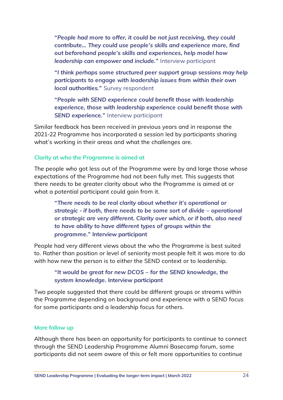*"People had more to offer, it could be not just receiving, they could contribute… They could use people's skills and experience more, find out beforehand people's skills and experiences, help model how leadership can empower and include."* Interview participant

*"I think perhaps some structured peer support group sessions may help participants to engage with leadership issues from within their own local authorities."* Survey respondent

*"People with SEND experience could benefit those with leadership experience, those with leadership experience could benefit those with SEND experience."* Interview participant

Similar feedback has been received in previous years and in response the 2021-22 Programme has incorporated a session led by participants sharing what's working in their areas and what the challenges are.

#### Clarity at who the Programme is aimed at

The people who got less out of the Programme were by and large those whose expectations of the Programme had not been fully met. This suggests that there needs to be greater clarity about who the Programme is aimed at or what a potential participant could gain from it.

*"There needs to be real clarity about whether it's operational or strategic - if both, there needs to be some sort of divide – operational or strategic are very different. Clarity over which, or if both, also need to have ability to have different types of groups within the programme."* Interview participant

People had very different views about the who the Programme is best suited to. Rather than position or level of seniority most people felt it was more to do with how new the person is to either the SEND context or to leadership.

# *"It would be great for new DCOS – for the SEND knowledge, the system knowledge.* Interview participant

Two people suggested that there could be different groups or streams within the Programme depending on background and experience with a SEND focus for some participants and a leadership focus for others.

#### More follow up

Although there has been an opportunity for participants to continue to connect through the SEND Leadership Programme Alumni Basecamp forum, some participants did not seem aware of this or felt more opportunities to continue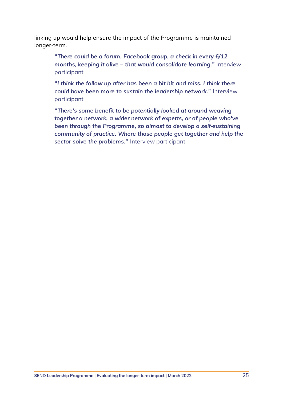linking up would help ensure the impact of the Programme is maintained longer-term.

> *"There could be a forum, Facebook group, a check in every 6/12 months, keeping it alive – that would consolidate learning."* Interview participant

*"I think the follow up after has been a bit hit and miss. I think there could have been more to sustain the leadership network."* Interview participant

*"There's some benefit to be potentially looked at around weaving together a network, a wider network of experts, or of people who've been through the Programme, so almost to develop a self-sustaining community of practice. Where those people get together and help the sector solve the problems."* Interview participant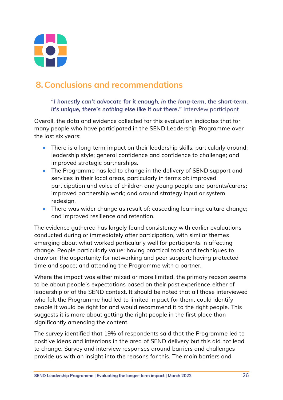

# 8.Conclusions and recommendations

# *"I honestly can't advocate for it enough, in the long-term, the short-term. It's unique, there's nothing else like it out there."* Interview participant

Overall, the data and evidence collected for this evaluation indicates that for many people who have participated in the SEND Leadership Programme over the last six years:

- There is a long-term impact on their leadership skills, particularly around: leadership style; general confidence and confidence to challenge; and improved strategic partnerships.
- The Programme has led to change in the delivery of SEND support and services in their local areas, particularly in terms of: improved participation and voice of children and young people and parents/carers; improved partnership work; and around strategy input or system redesign.
- There was wider change as result of: cascading learning; culture change; and improved resilience and retention.

The evidence gathered has largely found consistency with earlier evaluations conducted during or immediately after participation, with similar themes emerging about what worked particularly well for participants in affecting change. People particularly value: having practical tools and techniques to draw on; the opportunity for networking and peer support; having protected time and space; and attending the Programme with a partner.

Where the impact was either mixed or more limited, the primary reason seems to be about people's expectations based on their past experience either of leadership or of the SEND context. It should be noted that all those interviewed who felt the Programme had led to limited impact for them, could identify people it would be right for and would recommend it to the right people. This suggests it is more about getting the right people in the first place than significantly amending the content.

The survey identified that 19% of respondents said that the Programme led to positive ideas and intentions in the area of SEND delivery but this did not lead to change. Survey and interview responses around barriers and challenges provide us with an insight into the reasons for this. The main barriers and